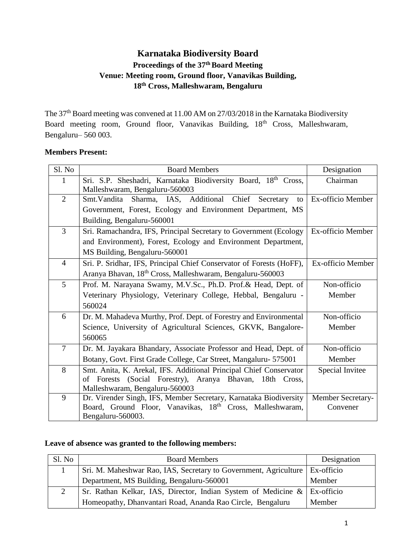# **Karnataka Biodiversity Board Proceedings of the 37 thBoard Meeting Venue: Meeting room, Ground floor, Vanavikas Building, 18th Cross, Malleshwaram, Bengaluru**

The 37<sup>th</sup> Board meeting was convened at 11.00 AM on 27/03/2018 in the Karnataka Biodiversity Board meeting room, Ground floor, Vanavikas Building, 18<sup>th</sup> Cross, Malleshwaram, Bengaluru– 560 003.

### **Members Present:**

| Sl. No         | <b>Board Members</b>                                                         | Designation       |  |  |
|----------------|------------------------------------------------------------------------------|-------------------|--|--|
| 1              | Sri. S.P. Sheshadri, Karnataka Biodiversity Board, 18th Cross,               | Chairman          |  |  |
|                | Malleshwaram, Bengaluru-560003                                               |                   |  |  |
| $\overline{2}$ | Sharma, IAS, Additional<br>Chief<br>Smt. Vandita<br>Secretary<br>to          | Ex-officio Member |  |  |
|                | Government, Forest, Ecology and Environment Department, MS                   |                   |  |  |
|                | Building, Bengaluru-560001                                                   |                   |  |  |
| 3              | Sri. Ramachandra, IFS, Principal Secretary to Government (Ecology            | Ex-officio Member |  |  |
|                | and Environment), Forest, Ecology and Environment Department,                |                   |  |  |
|                | MS Building, Bengaluru-560001                                                |                   |  |  |
| $\overline{4}$ | Sri. P. Sridhar, IFS, Principal Chief Conservator of Forests (HoFF),         | Ex-officio Member |  |  |
|                | Aranya Bhavan, 18th Cross, Malleshwaram, Bengaluru-560003                    |                   |  |  |
| 5              | Non-officio<br>Prof. M. Narayana Swamy, M.V.Sc., Ph.D. Prof.& Head, Dept. of |                   |  |  |
|                | Veterinary Physiology, Veterinary College, Hebbal, Bengaluru -               | Member            |  |  |
|                | 560024                                                                       |                   |  |  |
| 6              | Dr. M. Mahadeva Murthy, Prof. Dept. of Forestry and Environmental            | Non-officio       |  |  |
|                | Science, University of Agricultural Sciences, GKVK, Bangalore-               | Member            |  |  |
|                | 560065                                                                       |                   |  |  |
| $\overline{7}$ | Dr. M. Jayakara Bhandary, Associate Professor and Head, Dept. of             | Non-officio       |  |  |
|                | Botany, Govt. First Grade College, Car Street, Mangaluru- 575001             | Member            |  |  |
| 8              | Smt. Anita, K. Arekal, IFS. Additional Principal Chief Conservator           | Special Invitee   |  |  |
|                | of Forests (Social Forestry), Aranya Bhavan, 18th Cross,                     |                   |  |  |
|                | Malleshwaram, Bengaluru-560003                                               |                   |  |  |
| 9              | Dr. Virender Singh, IFS, Member Secretary, Karnataka Biodiversity            | Member Secretary- |  |  |
|                | Board, Ground Floor, Vanavikas, 18th Cross, Malleshwaram,                    | Convener          |  |  |
|                | Bengaluru-560003.                                                            |                   |  |  |

### **Leave of absence was granted to the following members:**

| Sl. No   | <b>Board Members</b>                                                          | Designation |
|----------|-------------------------------------------------------------------------------|-------------|
|          | Sri. M. Maheshwar Rao, IAS, Secretary to Government, Agriculture   Ex-officio |             |
|          | Department, MS Building, Bengaluru-560001                                     | Member      |
| $\gamma$ | Sr. Rathan Kelkar, IAS, Director, Indian System of Medicine $\&$ Ex-officio   |             |
|          | Homeopathy, Dhanvantari Road, Ananda Rao Circle, Bengaluru                    | Member      |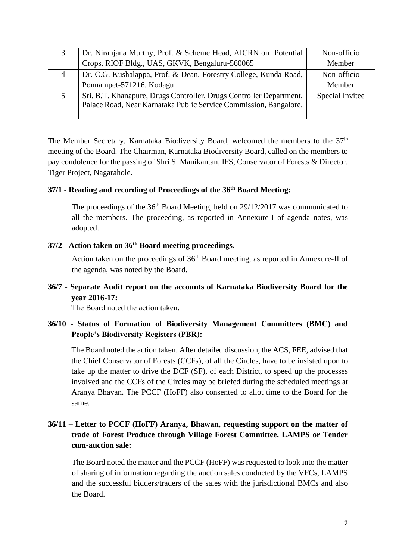|                | Dr. Niranjana Murthy, Prof. & Scheme Head, AICRN on Potential                                                                            | Non-officio     |
|----------------|------------------------------------------------------------------------------------------------------------------------------------------|-----------------|
|                | Crops, RIOF Bldg., UAS, GKVK, Bengaluru-560065                                                                                           | Member          |
| $\overline{4}$ | Dr. C.G. Kushalappa, Prof. & Dean, Forestry College, Kunda Road,                                                                         | Non-officio     |
|                | Ponnampet-571216, Kodagu                                                                                                                 | Member          |
|                | Sri. B.T. Khanapure, Drugs Controller, Drugs Controller Department,<br>Palace Road, Near Karnataka Public Service Commission, Bangalore. | Special Invitee |

The Member Secretary, Karnataka Biodiversity Board, welcomed the members to the 37<sup>th</sup> meeting of the Board. The Chairman, Karnataka Biodiversity Board, called on the members to pay condolence for the passing of Shri S. Manikantan, IFS, Conservator of Forests & Director, Tiger Project, Nagarahole.

### **37/1 - Reading and recording of Proceedings of the 36th Board Meeting:**

The proceedings of the  $36<sup>th</sup>$  Board Meeting, held on  $29/12/2017$  was communicated to all the members. The proceeding, as reported in Annexure-I of agenda notes, was adopted.

### **37/2 - Action taken on 36th Board meeting proceedings.**

Action taken on the proceedings of  $36<sup>th</sup>$  Board meeting, as reported in Annexure-II of the agenda, was noted by the Board.

## **36/7 - Separate Audit report on the accounts of Karnataka Biodiversity Board for the year 2016-17:**

The Board noted the action taken.

### **36/10 - Status of Formation of Biodiversity Management Committees (BMC) and People's Biodiversity Registers (PBR):**

The Board noted the action taken. After detailed discussion, the ACS, FEE, advised that the Chief Conservator of Forests (CCFs), of all the Circles, have to be insisted upon to take up the matter to drive the DCF (SF), of each District, to speed up the processes involved and the CCFs of the Circles may be briefed during the scheduled meetings at Aranya Bhavan. The PCCF (HoFF) also consented to allot time to the Board for the same.

# **36/11 – Letter to PCCF (HoFF) Aranya, Bhawan, requesting support on the matter of trade of Forest Produce through Village Forest Committee, LAMPS or Tender cum-auction sale:**

The Board noted the matter and the PCCF (HoFF) was requested to look into the matter of sharing of information regarding the auction sales conducted by the VFCs, LAMPS and the successful bidders/traders of the sales with the jurisdictional BMCs and also the Board.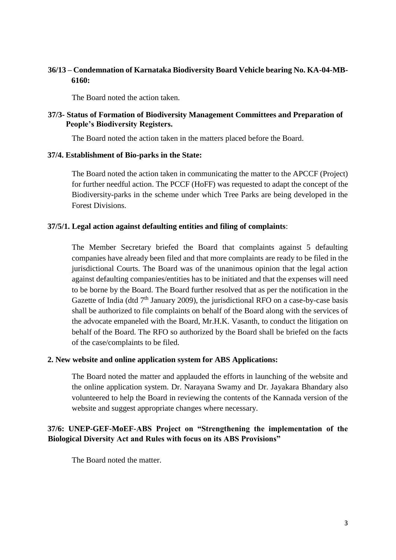### **36/13 – Condemnation of Karnataka Biodiversity Board Vehicle bearing No. KA-04-MB-6160:**

The Board noted the action taken.

#### **37/3- Status of Formation of Biodiversity Management Committees and Preparation of People's Biodiversity Registers.**

The Board noted the action taken in the matters placed before the Board.

#### **37/4. Establishment of Bio-parks in the State:**

The Board noted the action taken in communicating the matter to the APCCF (Project) for further needful action. The PCCF (HoFF) was requested to adapt the concept of the Biodiversity-parks in the scheme under which Tree Parks are being developed in the Forest Divisions.

#### **37/5/1. Legal action against defaulting entities and filing of complaints**:

The Member Secretary briefed the Board that complaints against 5 defaulting companies have already been filed and that more complaints are ready to be filed in the jurisdictional Courts. The Board was of the unanimous opinion that the legal action against defaulting companies/entities has to be initiated and that the expenses will need to be borne by the Board. The Board further resolved that as per the notification in the Gazette of India (dtd  $7<sup>th</sup>$  January 2009), the jurisdictional RFO on a case-by-case basis shall be authorized to file complaints on behalf of the Board along with the services of the advocate empaneled with the Board, Mr.H.K. Vasanth, to conduct the litigation on behalf of the Board. The RFO so authorized by the Board shall be briefed on the facts of the case/complaints to be filed.

#### **2. New website and online application system for ABS Applications:**

The Board noted the matter and applauded the efforts in launching of the website and the online application system. Dr. Narayana Swamy and Dr. Jayakara Bhandary also volunteered to help the Board in reviewing the contents of the Kannada version of the website and suggest appropriate changes where necessary.

### **37/6: UNEP-GEF-MoEF-ABS Project on "Strengthening the implementation of the Biological Diversity Act and Rules with focus on its ABS Provisions"**

The Board noted the matter.